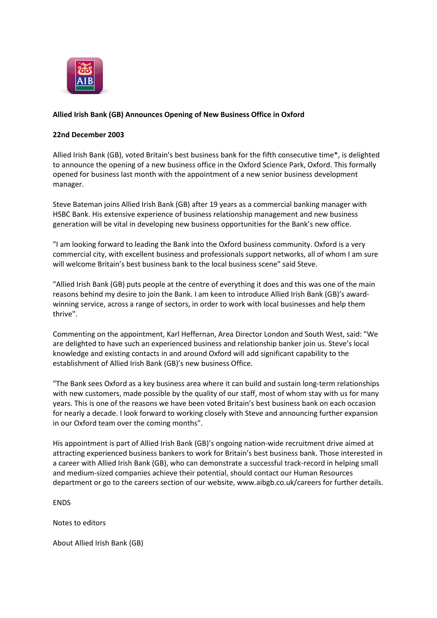

## **Allied Irish Bank (GB) Announces Opening of New Business Office in Oxford**

## **22nd December 2003**

Allied Irish Bank (GB), voted Britain's best business bank for the fifth consecutive time\*, is delighted to announce the opening of a new business office in the Oxford Science Park, Oxford. This formally opened for business last month with the appointment of a new senior business development manager.

Steve Bateman joins Allied Irish Bank (GB) after 19 years as a commercial banking manager with HSBC Bank. His extensive experience of business relationship management and new business generation will be vital in developing new business opportunities for the Bank's new office.

"I am looking forward to leading the Bank into the Oxford business community. Oxford is a very commercial city, with excellent business and professionals support networks, all of whom I am sure will welcome Britain's best business bank to the local business scene" said Steve.

"Allied Irish Bank (GB) puts people at the centre of everything it does and this was one of the main reasons behind my desire to join the Bank. I am keen to introduce Allied Irish Bank (GB)'s awardwinning service, across a range of sectors, in order to work with local businesses and help them thrive".

Commenting on the appointment, Karl Heffernan, Area Director London and South West, said: "We are delighted to have such an experienced business and relationship banker join us. Steve's local knowledge and existing contacts in and around Oxford will add significant capability to the establishment of Allied Irish Bank (GB)'s new business Office.

"The Bank sees Oxford as a key business area where it can build and sustain long-term relationships with new customers, made possible by the quality of our staff, most of whom stay with us for many years. This is one of the reasons we have been voted Britain's best business bank on each occasion for nearly a decade. I look forward to working closely with Steve and announcing further expansion in our Oxford team over the coming months".

His appointment is part of Allied Irish Bank (GB)'s ongoing nation-wide recruitment drive aimed at attracting experienced business bankers to work for Britain's best business bank. Those interested in a career with Allied Irish Bank (GB), who can demonstrate a successful track-record in helping small and medium-sized companies achieve their potential, should contact our Human Resources department or go to the careers section of our website, www.aibgb.co.uk/careers for further details.

**FNDS** 

Notes to editors

About Allied Irish Bank (GB)